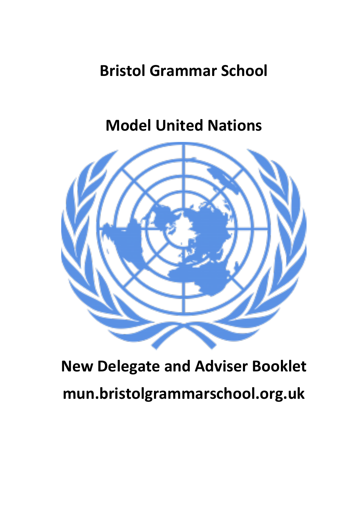# **Bristol Grammar School**

# **Model United Nations**



# **New Delegate and Adviser Booklet mun.bristolgrammarschool.org.uk**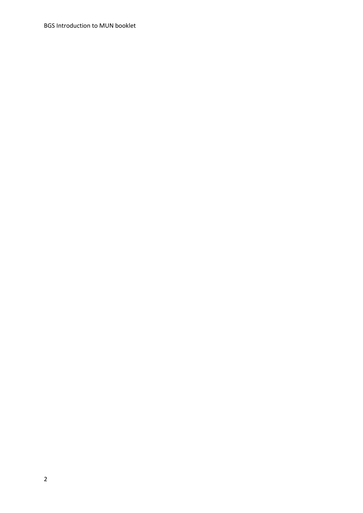BGS Introduction to MUN booklet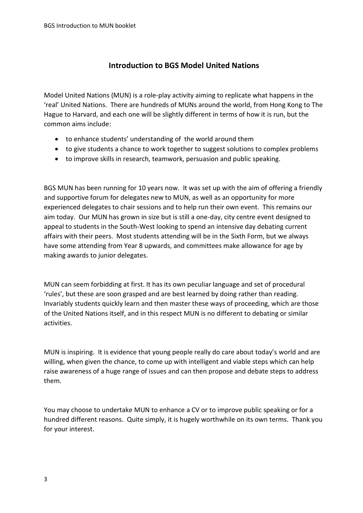# **Introduction to BGS Model United Nations**

Model United Nations (MUN) is a role-play activity aiming to replicate what happens in the 'real' United Nations. There are hundreds of MUNs around the world, from Hong Kong to The Hague to Harvard, and each one will be slightly different in terms of how it is run, but the common aims include:

- to enhance students' understanding of the world around them
- to give students a chance to work together to suggest solutions to complex problems
- to improve skills in research, teamwork, persuasion and public speaking.

BGS MUN has been running for 10 years now. It was set up with the aim of offering a friendly and supportive forum for delegates new to MUN, as well as an opportunity for more experienced delegates to chair sessions and to help run their own event. This remains our aim today. Our MUN has grown in size but is still a one-day, city centre event designed to appeal to students in the South-West looking to spend an intensive day debating current affairs with their peers. Most students attending will be in the Sixth Form, but we always have some attending from Year 8 upwards, and committees make allowance for age by making awards to junior delegates.

MUN can seem forbidding at first. It has its own peculiar language and set of procedural 'rules', but these are soon grasped and are best learned by doing rather than reading. Invariably students quickly learn and then master these ways of proceeding, which are those of the United Nations itself, and in this respect MUN is no different to debating or similar activities.

MUN is inspiring. It is evidence that young people really do care about today's world and are willing, when given the chance, to come up with intelligent and viable steps which can help raise awareness of a huge range of issues and can then propose and debate steps to address them.

You may choose to undertake MUN to enhance a CV or to improve public speaking or for a hundred different reasons. Quite simply, it is hugely worthwhile on its own terms. Thank you for your interest.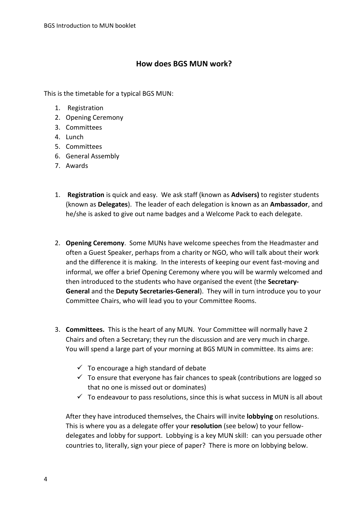## **How does BGS MUN work?**

This is the timetable for a typical BGS MUN:

- 1. Registration
- 2. Opening Ceremony
- 3. Committees
- 4. Lunch
- 5. Committees
- 6. General Assembly
- 7. Awards
- 1. **Registration** is quick and easy. We ask staff (known as **Advisers)** to register students (known as **Delegates**). The leader of each delegation is known as an **Ambassador**, and he/she is asked to give out name badges and a Welcome Pack to each delegate.
- 2. **Opening Ceremony**. Some MUNs have welcome speeches from the Headmaster and often a Guest Speaker, perhaps from a charity or NGO, who will talk about their work and the difference it is making. In the interests of keeping our event fast-moving and informal, we offer a brief Opening Ceremony where you will be warmly welcomed and then introduced to the students who have organised the event (the **Secretary-General** and the **Deputy Secretaries-General**). They will in turn introduce you to your Committee Chairs, who will lead you to your Committee Rooms.
- 3. **Committees.** This is the heart of any MUN. Your Committee will normally have 2 Chairs and often a Secretary; they run the discussion and are very much in charge. You will spend a large part of your morning at BGS MUN in committee. Its aims are:
	- $\checkmark$  To encourage a high standard of debate
	- $\checkmark$  To ensure that everyone has fair chances to speak (contributions are logged so that no one is missed out or dominates)
	- $\checkmark$  To endeavour to pass resolutions, since this is what success in MUN is all about

After they have introduced themselves, the Chairs will invite **lobbying** on resolutions. This is where you as a delegate offer your **resolution** (see below) to your fellowdelegates and lobby for support. Lobbying is a key MUN skill: can you persuade other countries to, literally, sign your piece of paper? There is more on lobbying below.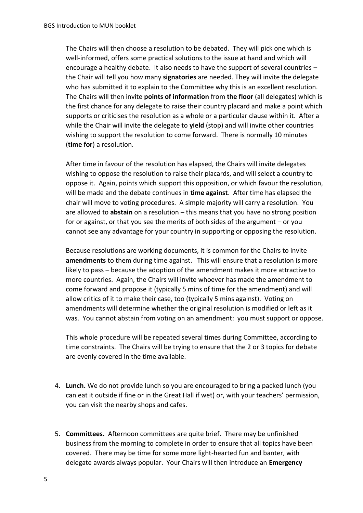The Chairs will then choose a resolution to be debated. They will pick one which is well-informed, offers some practical solutions to the issue at hand and which will encourage a healthy debate. It also needs to have the support of several countries – the Chair will tell you how many **signatories** are needed. They will invite the delegate who has submitted it to explain to the Committee why this is an excellent resolution. The Chairs will then invite **points of information** from **the floor** (all delegates) which is the first chance for any delegate to raise their country placard and make a point which supports or criticises the resolution as a whole or a particular clause within it. After a while the Chair will invite the delegate to **yield** (stop) and will invite other countries wishing to support the resolution to come forward. There is normally 10 minutes (**time for**) a resolution.

After time in favour of the resolution has elapsed, the Chairs will invite delegates wishing to oppose the resolution to raise their placards, and will select a country to oppose it. Again, points which support this opposition, or which favour the resolution, will be made and the debate continues in **time against**. After time has elapsed the chair will move to voting procedures. A simple majority will carry a resolution. You are allowed to **abstain** on a resolution – this means that you have no strong position for or against, or that you see the merits of both sides of the argument – or you cannot see any advantage for your country in supporting or opposing the resolution.

Because resolutions are working documents, it is common for the Chairs to invite **amendments** to them during time against. This will ensure that a resolution is more likely to pass – because the adoption of the amendment makes it more attractive to more countries. Again, the Chairs will invite whoever has made the amendment to come forward and propose it (typically 5 mins of time for the amendment) and will allow critics of it to make their case, too (typically 5 mins against). Voting on amendments will determine whether the original resolution is modified or left as it was. You cannot abstain from voting on an amendment: you must support or oppose.

This whole procedure will be repeated several times during Committee, according to time constraints. The Chairs will be trying to ensure that the 2 or 3 topics for debate are evenly covered in the time available.

- 4. **Lunch.** We do not provide lunch so you are encouraged to bring a packed lunch (you can eat it outside if fine or in the Great Hall if wet) or, with your teachers' permission, you can visit the nearby shops and cafes.
- 5. **Committees.** Afternoon committees are quite brief. There may be unfinished business from the morning to complete in order to ensure that all topics have been covered. There may be time for some more light-hearted fun and banter, with delegate awards always popular. Your Chairs will then introduce an **Emergency**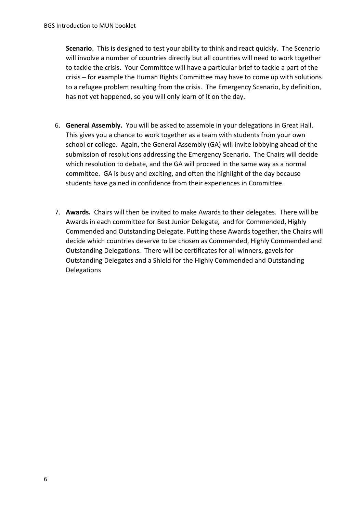**Scenario**. This is designed to test your ability to think and react quickly. The Scenario will involve a number of countries directly but all countries will need to work together to tackle the crisis. Your Committee will have a particular brief to tackle a part of the crisis – for example the Human Rights Committee may have to come up with solutions to a refugee problem resulting from the crisis. The Emergency Scenario, by definition, has not yet happened, so you will only learn of it on the day.

- 6. **General Assembly.** You will be asked to assemble in your delegations in Great Hall. This gives you a chance to work together as a team with students from your own school or college. Again, the General Assembly (GA) will invite lobbying ahead of the submission of resolutions addressing the Emergency Scenario. The Chairs will decide which resolution to debate, and the GA will proceed in the same way as a normal committee. GA is busy and exciting, and often the highlight of the day because students have gained in confidence from their experiences in Committee.
- 7. **Awards.** Chairs will then be invited to make Awards to their delegates. There will be Awards in each committee for Best Junior Delegate, and for Commended, Highly Commended and Outstanding Delegate. Putting these Awards together, the Chairs will decide which countries deserve to be chosen as Commended, Highly Commended and Outstanding Delegations. There will be certificates for all winners, gavels for Outstanding Delegates and a Shield for the Highly Commended and Outstanding Delegations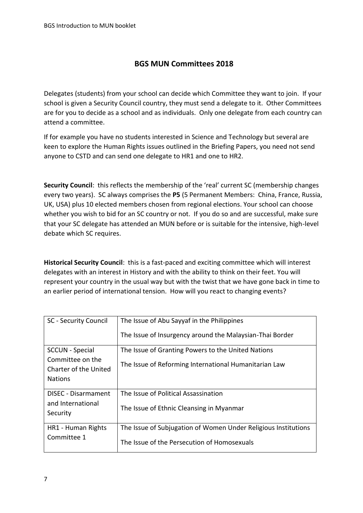# **BGS MUN Committees 2018**

Delegates (students) from your school can decide which Committee they want to join. If your school is given a Security Council country, they must send a delegate to it. Other Committees are for you to decide as a school and as individuals. Only one delegate from each country can attend a committee.

If for example you have no students interested in Science and Technology but several are keen to explore the Human Rights issues outlined in the Briefing Papers, you need not send anyone to CSTD and can send one delegate to HR1 and one to HR2.

**Security Council**: this reflects the membership of the 'real' current SC (membership changes every two years). SC always comprises the **P5** (5 Permanent Members: China, France, Russia, UK, USA) plus 10 elected members chosen from regional elections. Your school can choose whether you wish to bid for an SC country or not. If you do so and are successful, make sure that your SC delegate has attended an MUN before or is suitable for the intensive, high-level debate which SC requires.

**Historical Security Council**: this is a fast-paced and exciting committee which will interest delegates with an interest in History and with the ability to think on their feet. You will represent your country in the usual way but with the twist that we have gone back in time to an earlier period of international tension. How will you react to changing events?

| <b>SC</b> - Security Council              | The Issue of Abu Sayyaf in the Philippines                     |
|-------------------------------------------|----------------------------------------------------------------|
|                                           | The Issue of Insurgency around the Malaysian-Thai Border       |
| <b>SCCUN</b> - Special                    | The Issue of Granting Powers to the United Nations             |
| Committee on the<br>Charter of the United | The Issue of Reforming International Humanitarian Law          |
| <b>Nations</b>                            |                                                                |
| <b>DISEC</b> - Disarmament                | The Issue of Political Assassination                           |
| and International<br>Security             | The Issue of Ethnic Cleansing in Myanmar                       |
| HR1 - Human Rights                        | The Issue of Subjugation of Women Under Religious Institutions |
| Committee 1                               | The Issue of the Persecution of Homosexuals                    |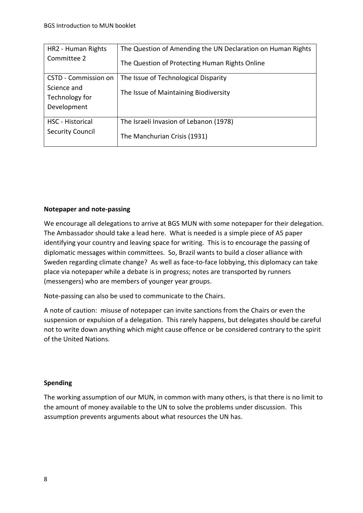| HR2 - Human Rights                           | The Question of Amending the UN Declaration on Human Rights |
|----------------------------------------------|-------------------------------------------------------------|
| Committee 2                                  | The Question of Protecting Human Rights Online              |
| CSTD - Commission on                         | The Issue of Technological Disparity                        |
| Science and<br>Technology for<br>Development | The Issue of Maintaining Biodiversity                       |
| <b>HSC</b> - Historical                      | The Israeli Invasion of Lebanon (1978)                      |
| <b>Security Council</b>                      | The Manchurian Crisis (1931)                                |

## **Notepaper and note-passing**

We encourage all delegations to arrive at BGS MUN with some notepaper for their delegation. The Ambassador should take a lead here. What is needed is a simple piece of A5 paper identifying your country and leaving space for writing. This is to encourage the passing of diplomatic messages within committees. So, Brazil wants to build a closer alliance with Sweden regarding climate change? As well as face-to-face lobbying, this diplomacy can take place via notepaper while a debate is in progress; notes are transported by runners (messengers) who are members of younger year groups.

Note-passing can also be used to communicate to the Chairs.

A note of caution: misuse of notepaper can invite sanctions from the Chairs or even the suspension or expulsion of a delegation. This rarely happens, but delegates should be careful not to write down anything which might cause offence or be considered contrary to the spirit of the United Nations.

#### **Spending**

The working assumption of our MUN, in common with many others, is that there is no limit to the amount of money available to the UN to solve the problems under discussion. This assumption prevents arguments about what resources the UN has.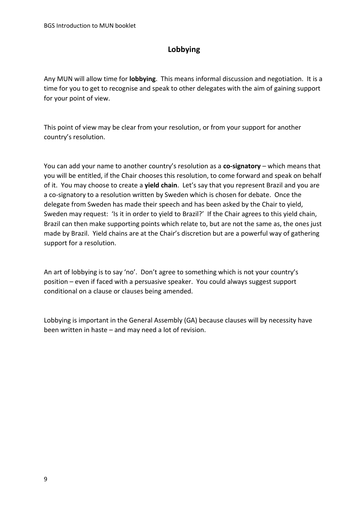# **Lobbying**

Any MUN will allow time for **lobbying**. This means informal discussion and negotiation. It is a time for you to get to recognise and speak to other delegates with the aim of gaining support for your point of view.

This point of view may be clear from your resolution, or from your support for another country's resolution.

You can add your name to another country's resolution as a **co-signatory** – which means that you will be entitled, if the Chair chooses this resolution, to come forward and speak on behalf of it. You may choose to create a **yield chain**. Let's say that you represent Brazil and you are a co-signatory to a resolution written by Sweden which is chosen for debate. Once the delegate from Sweden has made their speech and has been asked by the Chair to yield, Sweden may request: 'Is it in order to yield to Brazil?' If the Chair agrees to this yield chain, Brazil can then make supporting points which relate to, but are not the same as, the ones just made by Brazil. Yield chains are at the Chair's discretion but are a powerful way of gathering support for a resolution.

An art of lobbying is to say 'no'. Don't agree to something which is not your country's position – even if faced with a persuasive speaker. You could always suggest support conditional on a clause or clauses being amended.

Lobbying is important in the General Assembly (GA) because clauses will by necessity have been written in haste – and may need a lot of revision.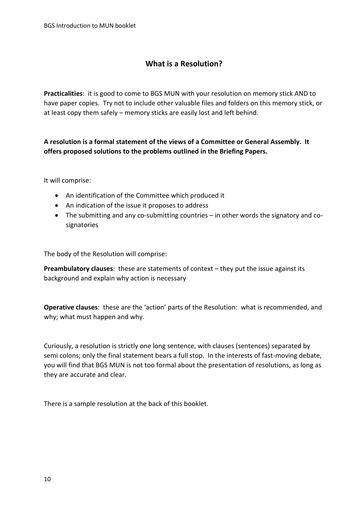# **What is a Resolution?**

**Practicalities**: it is good to come to BGS MUN with your resolution on memory stick AND to have paper copies. Try not to include other valuable files and folders on this memory stick, or at least copy them safely – memory sticks are easily lost and left behind.

**A resolution is a formal statement of the views of a Committee or General Assembly. It offers proposed solutions to the problems outlined in the Briefing Papers.**

It will comprise:

- An identification of the Committee which produced it
- An indication of the issue it proposes to address
- The submitting and any co-submitting countries in other words the signatory and cosignatories

The body of the Resolution will comprise:

**Preambulatory clauses**: these are statements of context – they put the issue against its background and explain why action is necessary

**Operative clauses**: these are the 'action' parts of the Resolution: what is recommended, and why; what must happen and why.

Curiously, a resolution is strictly one long sentence, with clauses (sentences) separated by semi colons; only the final statement bears a full stop. In the interests of fast-moving debate, you will find that BGS MUN is not too formal about the presentation of resolutions, as long as they are accurate and clear.

There is a sample resolution at the back of this booklet.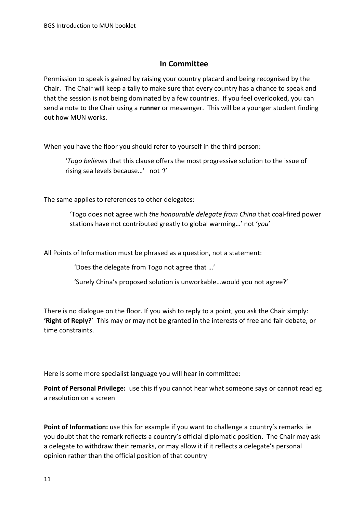# **In Committee**

Permission to speak is gained by raising your country placard and being recognised by the Chair. The Chair will keep a tally to make sure that every country has a chance to speak and that the session is not being dominated by a few countries. If you feel overlooked, you can send a note to the Chair using a **runner** or messenger. This will be a younger student finding out how MUN works.

When you have the floor you should refer to yourself in the third person:

'*Togo believes* that this clause offers the most progressive solution to the issue of rising sea levels because…' not *'I'*

The same applies to references to other delegates:

'Togo does not agree with *the honourable delegate from China* that coal-fired power stations have not contributed greatly to global warming…' not '*you*'

All Points of Information must be phrased as a question, not a statement:

'Does the delegate from Togo not agree that …'

'Surely China's proposed solution is unworkable…would you not agree?'

There is no dialogue on the floor. If you wish to reply to a point, you ask the Chair simply: **'Right of Reply?**' This may or may not be granted in the interests of free and fair debate, or time constraints.

Here is some more specialist language you will hear in committee:

**Point of Personal Privilege:** use this if you cannot hear what someone says or cannot read eg a resolution on a screen

**Point of Information:** use this for example if you want to challenge a country's remarks ie you doubt that the remark reflects a country's official diplomatic position. The Chair may ask a delegate to withdraw their remarks, or may allow it if it reflects a delegate's personal opinion rather than the official position of that country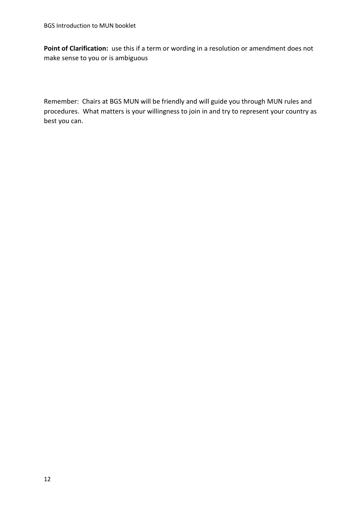Point of Clarification: use this if a term or wording in a resolution or amendment does not make sense to you or is ambiguous

Remember: Chairs at BGS MUN will be friendly and will guide you through MUN rules and procedures. What matters is your willingness to join in and try to represent your country as best you can.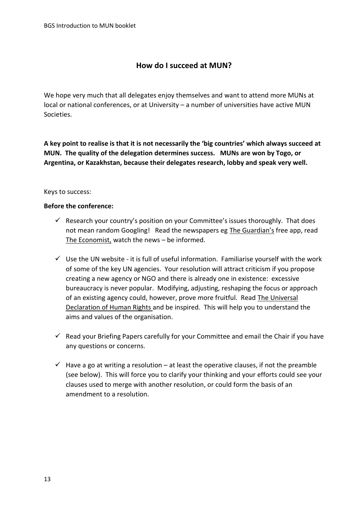# **How do I succeed at MUN?**

We hope very much that all delegates enjoy themselves and want to attend more MUNs at local or national conferences, or at University – a number of universities have active MUN Societies.

**A key point to realise is that it is not necessarily the 'big countries' which always succeed at MUN. The quality of the delegation determines success. MUNs are won by Togo, or Argentina, or Kazakhstan, because their delegates research, lobby and speak very well.**

#### Keys to success:

#### **Before the conference:**

- $\checkmark$  Research your country's position on your Committee's issues thoroughly. That does not mean random Googling! Read the newspapers eg The Guardian's free app, read The Economist, watch the news – be informed.
- $\checkmark$  Use the UN website it is full of useful information. Familiarise yourself with the work of some of the key UN agencies. Your resolution will attract criticism if you propose creating a new agency or NGO and there is already one in existence: excessive bureaucracy is never popular. Modifying, adjusting, reshaping the focus or approach of an existing agency could, however, prove more fruitful. Read The Universal Declaration of Human Rights and be inspired. This will help you to understand the aims and values of the organisation.
- $\checkmark$  Read your Briefing Papers carefully for your Committee and email the Chair if you have any questions or concerns.
- $\checkmark$  Have a go at writing a resolution at least the operative clauses, if not the preamble (see below). This will force you to clarify your thinking and your efforts could see your clauses used to merge with another resolution, or could form the basis of an amendment to a resolution.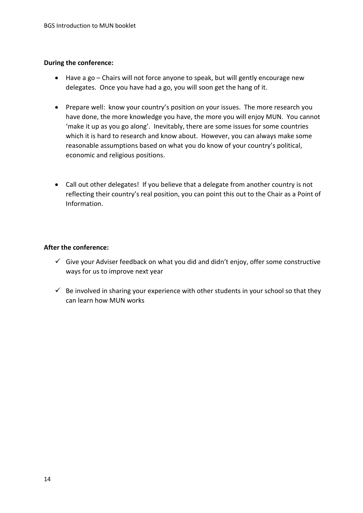#### **During the conference:**

- Have a go Chairs will not force anyone to speak, but will gently encourage new delegates. Once you have had a go, you will soon get the hang of it.
- Prepare well: know your country's position on your issues. The more research you have done, the more knowledge you have, the more you will enjoy MUN. You cannot 'make it up as you go along'. Inevitably, there are some issues for some countries which it is hard to research and know about. However, you can always make some reasonable assumptions based on what you do know of your country's political, economic and religious positions.
- Call out other delegates! If you believe that a delegate from another country is not reflecting their country's real position, you can point this out to the Chair as a Point of Information.

## **After the conference:**

- $\checkmark$  Give your Adviser feedback on what you did and didn't enjoy, offer some constructive ways for us to improve next year
- $\checkmark$  Be involved in sharing your experience with other students in your school so that they can learn how MUN works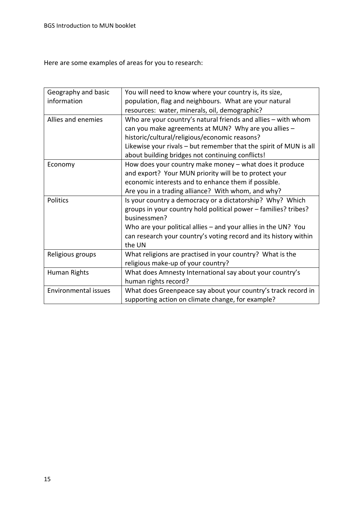Here are some examples of areas for you to research:

| Geography and basic         | You will need to know where your country is, its size,            |
|-----------------------------|-------------------------------------------------------------------|
| information                 | population, flag and neighbours. What are your natural            |
|                             | resources: water, minerals, oil, demographic?                     |
| Allies and enemies          | Who are your country's natural friends and allies - with whom     |
|                             | can you make agreements at MUN? Why are you allies -              |
|                             | historic/cultural/religious/economic reasons?                     |
|                             | Likewise your rivals - but remember that the spirit of MUN is all |
|                             | about building bridges not continuing conflicts!                  |
| Economy                     | How does your country make money - what does it produce           |
|                             | and export? Your MUN priority will be to protect your             |
|                             | economic interests and to enhance them if possible.               |
|                             | Are you in a trading alliance? With whom, and why?                |
| Politics                    | Is your country a democracy or a dictatorship? Why? Which         |
|                             | groups in your country hold political power - families? tribes?   |
|                             | businessmen?                                                      |
|                             | Who are your political allies $-$ and your allies in the UN? You  |
|                             | can research your country's voting record and its history within  |
|                             | the UN                                                            |
| Religious groups            | What religions are practised in your country? What is the         |
|                             | religious make-up of your country?                                |
| Human Rights                | What does Amnesty International say about your country's          |
|                             | human rights record?                                              |
| <b>Environmental issues</b> | What does Greenpeace say about your country's track record in     |
|                             | supporting action on climate change, for example?                 |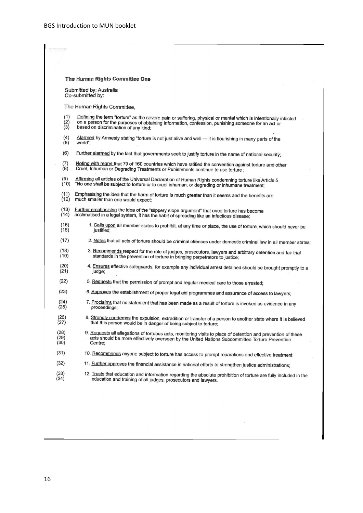**Executive** 

|      | The Human Rights Committee One                                                                                    |
|------|-------------------------------------------------------------------------------------------------------------------|
|      | Submitted by: Australia<br>Co-submitted by:                                                                       |
|      | The Human Rights Committee,                                                                                       |
| (1)  | Defining the term "torture" as the severe pain or suffering, physical or mental which is intentionally inflicted  |
| (2)  | on a person for the purposes of obtaining information, confession, punishing someone for an act or                |
| (3)  | based on discrimination of any kind;                                                                              |
| (4)  | Alarmed by Amnesty stating "torture is not just alive and well - it is flourishing in many parts of the           |
| (5)  | world";                                                                                                           |
| (6)  | Further alarmed by the fact that governments seek to justify torture in the name of national security;            |
| (7)  | Noting with regret that 79 of 160 countries which have ratified the convention against torture and other          |
| (8)  | Cruel, Inhuman or Degrading Treatments or Punishments continue to use torture;                                    |
| (9)  | Affirming all articles of the Universal Declaration of Human Rights condemning torture like Article 5             |
| (10) | "No one shall be subject to torture or to cruel inhuman, or degrading or inhumane treatment;                      |
| (11) | Emphasising the idea that the harm of torture is much greater than it seems and the benefits are                  |
| (12) | much smaller than one would expect;                                                                               |
| (13) | Further emphasising the idea of the "slippery slope argument" that once torture has become                        |
| (14) | acclimatised in a legal system, it has the habit of spreading like an infectious disease;                         |
| (15) | 1. Calls upon all member states to prohibit, at any time or place, the use of torture, which should never be      |
| (16) | justified:                                                                                                        |
| (17) | 2. Notes that all acts of torture should be criminal offences under domestic criminal law in all member states;   |
| (18) | 3. Recommends respect for the role of judges, prosecutors, lawyers and arbitrary detention and fair trial         |
| (19) | standards in the prevention of torture in bringing perpetrators to justice;                                       |
| (20) | 4. Ensures effective safeguards, for example any individual arrest detained should be brought promptly to a       |
| (21) | judge;                                                                                                            |
| (22) | 5. Requests that the permission of prompt and regular medical care to those arrested;                             |
| (23) | 6. Approves the establishment of proper legal aid programmes and assurance of access to lawyers;                  |
| (24) | 7. Proclaims that no statement that has been made as a result of torture is invoked as evidence in any            |
| (25) | proceedings;                                                                                                      |
| (26) | 8. Strongly condemns the expulsion, extradition or transfer of a person to another state where it is believed     |
| (27) | that this person would be in danger of being subject to torture;                                                  |
| (28) | 9. Requests all allegations of tortuous acts, monitoring visits to place of detention and prevention of these     |
| (29) | acts should be more effectively overseen by the United Nations Subcommittee Torture Prevention                    |
| (30) | Centre;                                                                                                           |
| (31) | 10. Recommends anyone subject to torture has access to prompt reparations and effective treatment                 |
| (32) | 11. Further approves the financial assistance in national efforts to strengthen justice administrations;          |
| (33) | 12. Trusts that education and information regarding the absolute prohibition of torture are fully included in the |
| (34) | education and training of all judges, prosecutors and lawyers.                                                    |

 $\sim$ 

 $\mathbb{R}^2$